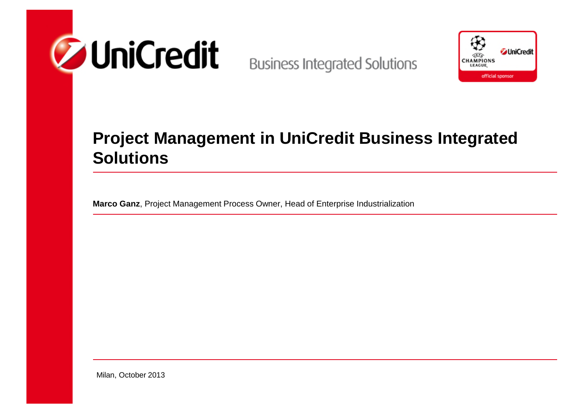



### **Project Management in UniCredit Business Integrated Solutions**

**Marco Ganz**, Project Management Process Owner, Head of Enterprise Industrialization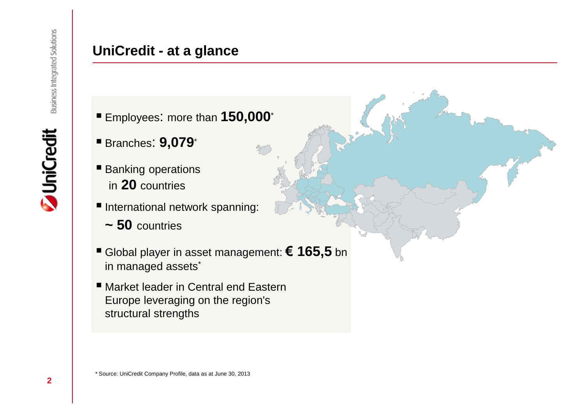# **ZuniCredit**

#### **UniCredit - at a glance**

- Employees: more than **150,000**\*
- Branches: **9,079**\*
- **Banking operations** in **20** countries
- **International network spanning:** 
	- **~ 50** countries
- Global player in asset management: **€ 165,5** bn in managed assets<sup>\*</sup>
- Market leader in Central end Eastern Europe leveraging on the region's structural strengths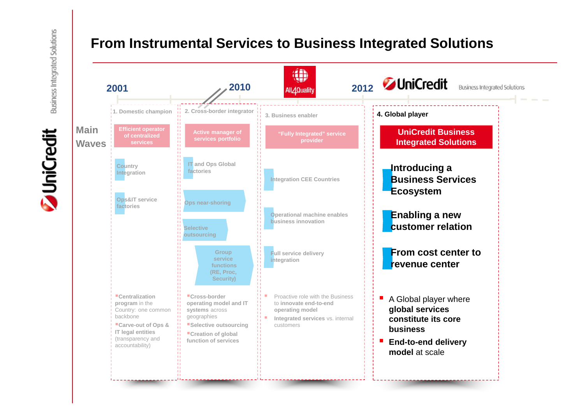#### **From Instrumental Services to Business Integrated Solutions**



**Z** UniCredit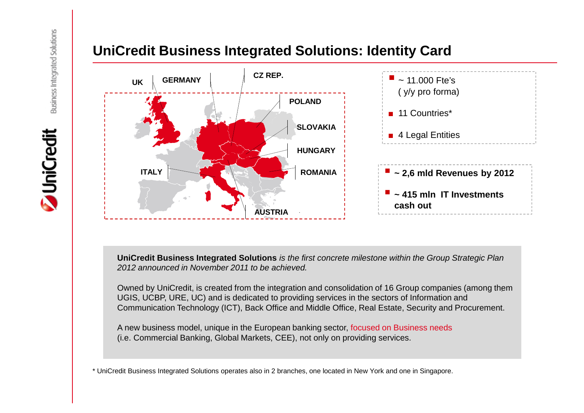### **Z** UniCredit

#### **UniCredit Business Integrated Solutions: Identity Card**



**UniCredit Business Integrated Solutions** *is the first concrete milestone within the Group Strategic Plan 2012 announced in November 2011 to be achieved.*

Owned by UniCredit, is created from the integration and consolidation of 16 Group companies (among them UGIS, UCBP, URE, UC) and is dedicated to providing services in the sectors of Information and Communication Technology (ICT), Back Office and Middle Office, Real Estate, Security and Procurement.

A new business model, unique in the European banking sector, focused on Business needs (i.e. Commercial Banking, Global Markets, CEE), not only on providing services.

\* UniCredit Business Integrated Solutions operates also in 2 branches, one located in New York and one in Singapore.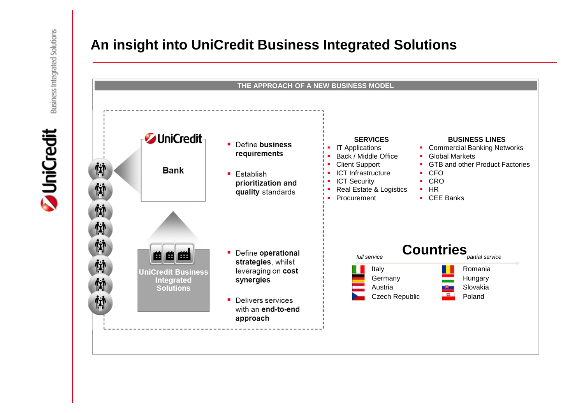## **JuniCredit**



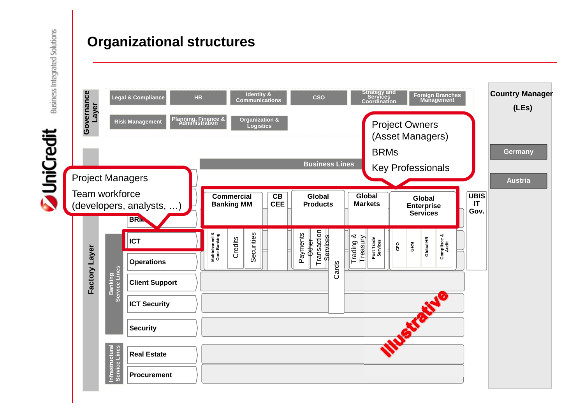#### **Organizational structures**



**JuniCredit**